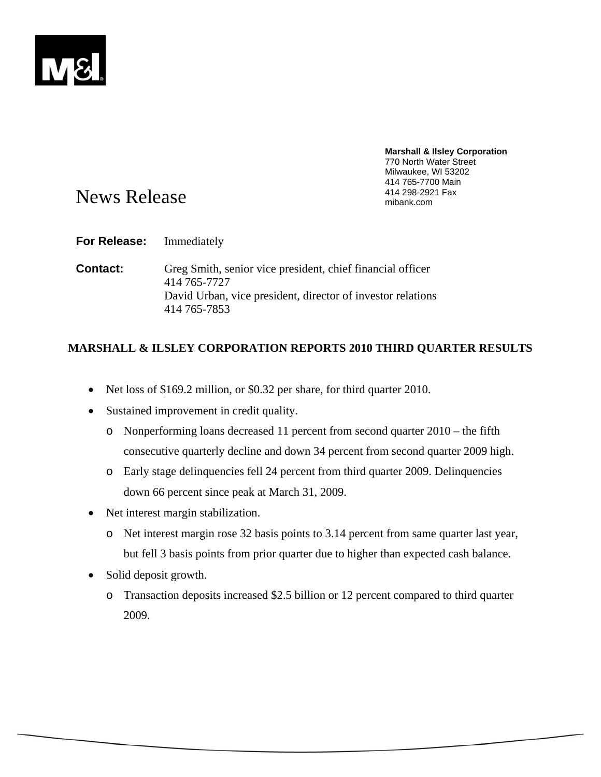

# **Marshall & Ilsley Corporation**  770 North Water Street Milwaukee, WI 53202 414 765-7700 Main

# News Release and the state of the state of the Means And 298-2921 Fax and  $\frac{414\,298-2921\,Fax}{\text{mibank.com}}$

**For Release:** Immediately

**Contact:** Greg Smith, senior vice president, chief financial officer 414 765-7727 David Urban, vice president, director of investor relations 414 765-7853

# **MARSHALL & ILSLEY CORPORATION REPORTS 2010 THIRD QUARTER RESULTS**

- Net loss of \$169.2 million, or \$0.32 per share, for third quarter 2010.
- Sustained improvement in credit quality.
	- o Nonperforming loans decreased 11 percent from second quarter 2010 the fifth consecutive quarterly decline and down 34 percent from second quarter 2009 high.
	- o Early stage delinquencies fell 24 percent from third quarter 2009. Delinquencies down 66 percent since peak at March 31, 2009.
- Net interest margin stabilization.
	- o Net interest margin rose 32 basis points to 3.14 percent from same quarter last year, but fell 3 basis points from prior quarter due to higher than expected cash balance.
- Solid deposit growth.
	- o Transaction deposits increased \$2.5 billion or 12 percent compared to third quarter 2009.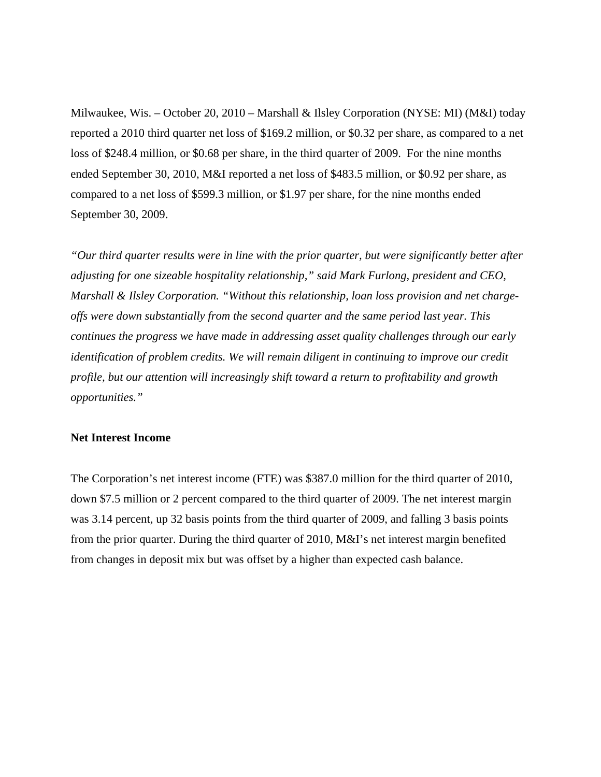Milwaukee, Wis. – October 20, 2010 – Marshall & Ilsley Corporation (NYSE: MI) (M&I) today reported a 2010 third quarter net loss of \$169.2 million, or \$0.32 per share, as compared to a net loss of \$248.4 million, or \$0.68 per share, in the third quarter of 2009. For the nine months ended September 30, 2010, M&I reported a net loss of \$483.5 million, or \$0.92 per share, as compared to a net loss of \$599.3 million, or \$1.97 per share, for the nine months ended September 30, 2009.

*"Our third quarter results were in line with the prior quarter, but were significantly better after adjusting for one sizeable hospitality relationship," said Mark Furlong, president and CEO, Marshall & Ilsley Corporation. "Without this relationship, loan loss provision and net chargeoffs were down substantially from the second quarter and the same period last year. This continues the progress we have made in addressing asset quality challenges through our early identification of problem credits. We will remain diligent in continuing to improve our credit profile, but our attention will increasingly shift toward a return to profitability and growth opportunities."* 

## **Net Interest Income**

The Corporation's net interest income (FTE) was \$387.0 million for the third quarter of 2010, down \$7.5 million or 2 percent compared to the third quarter of 2009. The net interest margin was 3.14 percent, up 32 basis points from the third quarter of 2009, and falling 3 basis points from the prior quarter. During the third quarter of 2010, M&I's net interest margin benefited from changes in deposit mix but was offset by a higher than expected cash balance.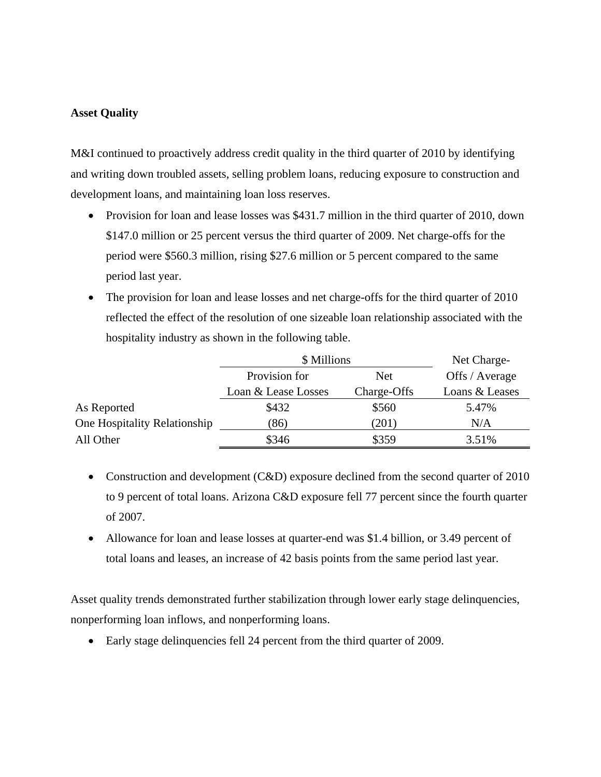## **Asset Quality**

M&I continued to proactively address credit quality in the third quarter of 2010 by identifying and writing down troubled assets, selling problem loans, reducing exposure to construction and development loans, and maintaining loan loss reserves.

- Provision for loan and lease losses was \$431.7 million in the third quarter of 2010, down \$147.0 million or 25 percent versus the third quarter of 2009. Net charge-offs for the period were \$560.3 million, rising \$27.6 million or 5 percent compared to the same period last year.
- The provision for loan and lease losses and net charge-offs for the third quarter of 2010 reflected the effect of the resolution of one sizeable loan relationship associated with the hospitality industry as shown in the following table.

|                              | \$ Millions         | Net Charge- |                |  |
|------------------------------|---------------------|-------------|----------------|--|
|                              | Provision for       | <b>Net</b>  | Offs / Average |  |
|                              | Loan & Lease Losses | Charge-Offs | Loans & Leases |  |
| As Reported                  | \$432               | \$560       | 5.47%          |  |
| One Hospitality Relationship | (86)                | (201)       | N/A            |  |
| All Other                    | \$346               | \$359       | 3.51%          |  |

- Construction and development (C&D) exposure declined from the second quarter of 2010 to 9 percent of total loans. Arizona C&D exposure fell 77 percent since the fourth quarter of 2007.
- Allowance for loan and lease losses at quarter-end was \$1.4 billion, or 3.49 percent of total loans and leases, an increase of 42 basis points from the same period last year.

Asset quality trends demonstrated further stabilization through lower early stage delinquencies, nonperforming loan inflows, and nonperforming loans.

Early stage delinquencies fell 24 percent from the third quarter of 2009.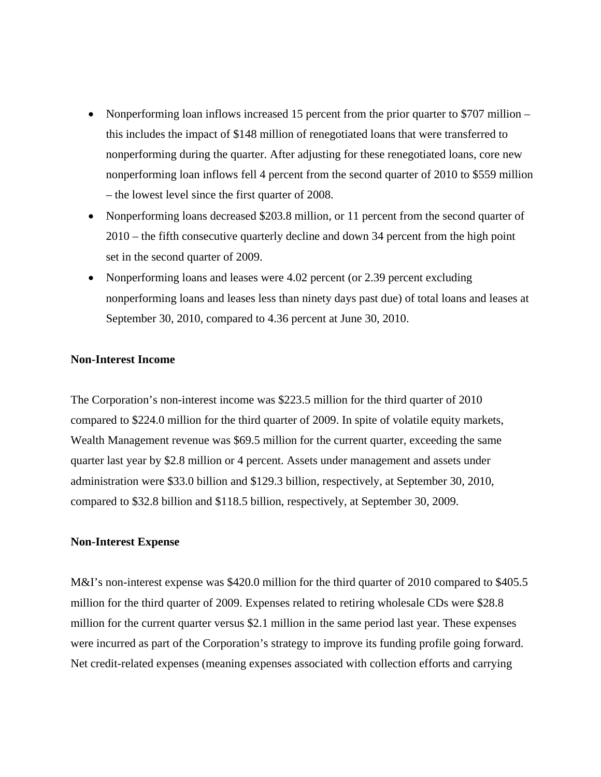- Nonperforming loan inflows increased 15 percent from the prior quarter to \$707 million this includes the impact of \$148 million of renegotiated loans that were transferred to nonperforming during the quarter. After adjusting for these renegotiated loans, core new nonperforming loan inflows fell 4 percent from the second quarter of 2010 to \$559 million – the lowest level since the first quarter of 2008.
- Nonperforming loans decreased \$203.8 million, or 11 percent from the second quarter of 2010 – the fifth consecutive quarterly decline and down 34 percent from the high point set in the second quarter of 2009.
- Nonperforming loans and leases were 4.02 percent (or 2.39 percent excluding nonperforming loans and leases less than ninety days past due) of total loans and leases at September 30, 2010, compared to 4.36 percent at June 30, 2010.

#### **Non-Interest Income**

The Corporation's non-interest income was \$223.5 million for the third quarter of 2010 compared to \$224.0 million for the third quarter of 2009. In spite of volatile equity markets, Wealth Management revenue was \$69.5 million for the current quarter, exceeding the same quarter last year by \$2.8 million or 4 percent. Assets under management and assets under administration were \$33.0 billion and \$129.3 billion, respectively, at September 30, 2010, compared to \$32.8 billion and \$118.5 billion, respectively, at September 30, 2009.

## **Non-Interest Expense**

M&I's non-interest expense was \$420.0 million for the third quarter of 2010 compared to \$405.5 million for the third quarter of 2009. Expenses related to retiring wholesale CDs were \$28.8 million for the current quarter versus \$2.1 million in the same period last year. These expenses were incurred as part of the Corporation's strategy to improve its funding profile going forward. Net credit-related expenses (meaning expenses associated with collection efforts and carrying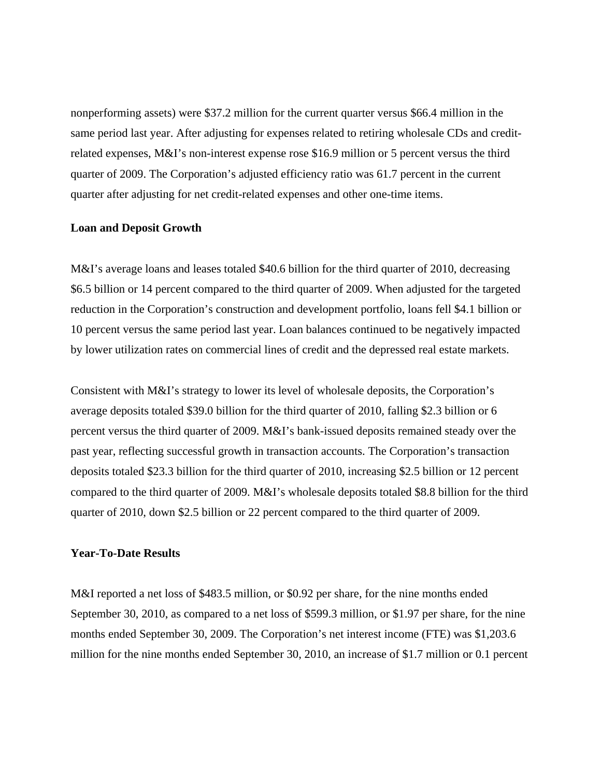nonperforming assets) were \$37.2 million for the current quarter versus \$66.4 million in the same period last year. After adjusting for expenses related to retiring wholesale CDs and creditrelated expenses, M&I's non-interest expense rose \$16.9 million or 5 percent versus the third quarter of 2009. The Corporation's adjusted efficiency ratio was 61.7 percent in the current quarter after adjusting for net credit-related expenses and other one-time items.

#### **Loan and Deposit Growth**

M&I's average loans and leases totaled \$40.6 billion for the third quarter of 2010, decreasing \$6.5 billion or 14 percent compared to the third quarter of 2009. When adjusted for the targeted reduction in the Corporation's construction and development portfolio, loans fell \$4.1 billion or 10 percent versus the same period last year. Loan balances continued to be negatively impacted by lower utilization rates on commercial lines of credit and the depressed real estate markets.

Consistent with M&I's strategy to lower its level of wholesale deposits, the Corporation's average deposits totaled \$39.0 billion for the third quarter of 2010, falling \$2.3 billion or 6 percent versus the third quarter of 2009. M&I's bank-issued deposits remained steady over the past year, reflecting successful growth in transaction accounts. The Corporation's transaction deposits totaled \$23.3 billion for the third quarter of 2010, increasing \$2.5 billion or 12 percent compared to the third quarter of 2009. M&I's wholesale deposits totaled \$8.8 billion for the third quarter of 2010, down \$2.5 billion or 22 percent compared to the third quarter of 2009.

#### **Year-To-Date Results**

M&I reported a net loss of \$483.5 million, or \$0.92 per share, for the nine months ended September 30, 2010, as compared to a net loss of \$599.3 million, or \$1.97 per share, for the nine months ended September 30, 2009. The Corporation's net interest income (FTE) was \$1,203.6 million for the nine months ended September 30, 2010, an increase of \$1.7 million or 0.1 percent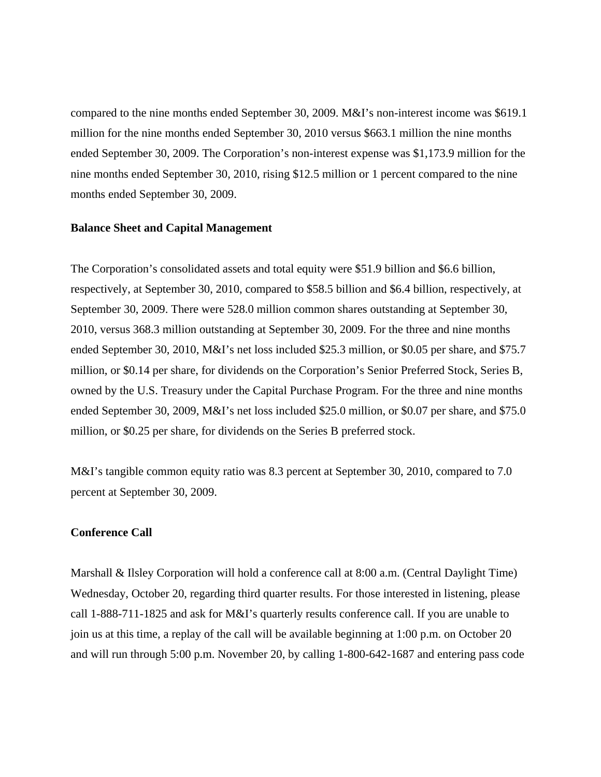compared to the nine months ended September 30, 2009. M&I's non-interest income was \$619.1 million for the nine months ended September 30, 2010 versus \$663.1 million the nine months ended September 30, 2009. The Corporation's non-interest expense was \$1,173.9 million for the nine months ended September 30, 2010, rising \$12.5 million or 1 percent compared to the nine months ended September 30, 2009.

#### **Balance Sheet and Capital Management**

The Corporation's consolidated assets and total equity were \$51.9 billion and \$6.6 billion, respectively, at September 30, 2010, compared to \$58.5 billion and \$6.4 billion, respectively, at September 30, 2009. There were 528.0 million common shares outstanding at September 30, 2010, versus 368.3 million outstanding at September 30, 2009. For the three and nine months ended September 30, 2010, M&I's net loss included \$25.3 million, or \$0.05 per share, and \$75.7 million, or \$0.14 per share, for dividends on the Corporation's Senior Preferred Stock, Series B, owned by the U.S. Treasury under the Capital Purchase Program. For the three and nine months ended September 30, 2009, M&I's net loss included \$25.0 million, or \$0.07 per share, and \$75.0 million, or \$0.25 per share, for dividends on the Series B preferred stock.

M&I's tangible common equity ratio was 8.3 percent at September 30, 2010, compared to 7.0 percent at September 30, 2009.

### **Conference Call**

Marshall & Ilsley Corporation will hold a conference call at 8:00 a.m. (Central Daylight Time) Wednesday, October 20, regarding third quarter results. For those interested in listening, please call 1-888-711-1825 and ask for M&I's quarterly results conference call. If you are unable to join us at this time, a replay of the call will be available beginning at 1:00 p.m. on October 20 and will run through 5:00 p.m. November 20, by calling 1-800-642-1687 and entering pass code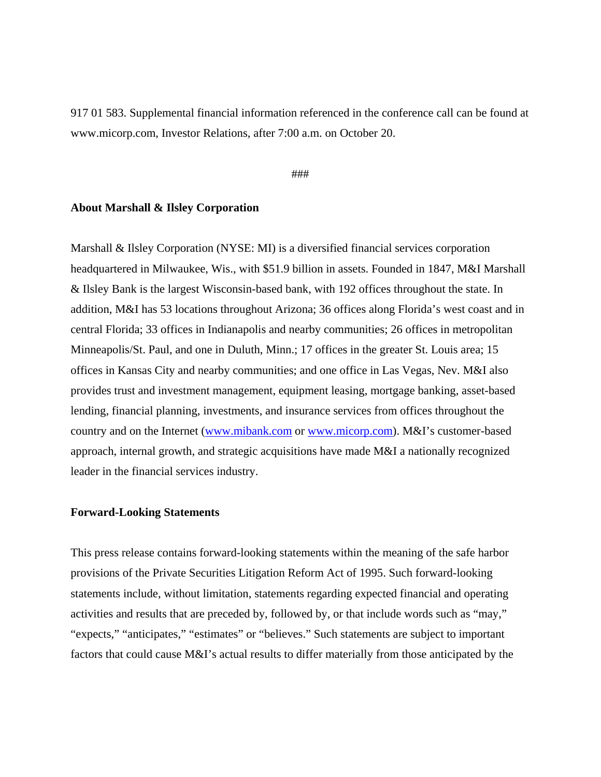917 01 583. Supplemental financial information referenced in the conference call can be found at www.micorp.com, Investor Relations, after 7:00 a.m. on October 20.

#### ###

## **About Marshall & Ilsley Corporation**

Marshall & Ilsley Corporation (NYSE: MI) is a diversified financial services corporation headquartered in Milwaukee, Wis., with \$51.9 billion in assets. Founded in 1847, M&I Marshall & Ilsley Bank is the largest Wisconsin-based bank, with 192 offices throughout the state. In addition, M&I has 53 locations throughout Arizona; 36 offices along Florida's west coast and in central Florida; 33 offices in Indianapolis and nearby communities; 26 offices in metropolitan Minneapolis/St. Paul, and one in Duluth, Minn.; 17 offices in the greater St. Louis area; 15 offices in Kansas City and nearby communities; and one office in Las Vegas, Nev. M&I also provides trust and investment management, equipment leasing, mortgage banking, asset-based lending, financial planning, investments, and insurance services from offices throughout the country and on the Internet (www.mibank.com or www.micorp.com). M&I's customer-based approach, internal growth, and strategic acquisitions have made M&I a nationally recognized leader in the financial services industry.

## **Forward-Looking Statements**

This press release contains forward-looking statements within the meaning of the safe harbor provisions of the Private Securities Litigation Reform Act of 1995. Such forward-looking statements include, without limitation, statements regarding expected financial and operating activities and results that are preceded by, followed by, or that include words such as "may," "expects," "anticipates," "estimates" or "believes." Such statements are subject to important factors that could cause M&I's actual results to differ materially from those anticipated by the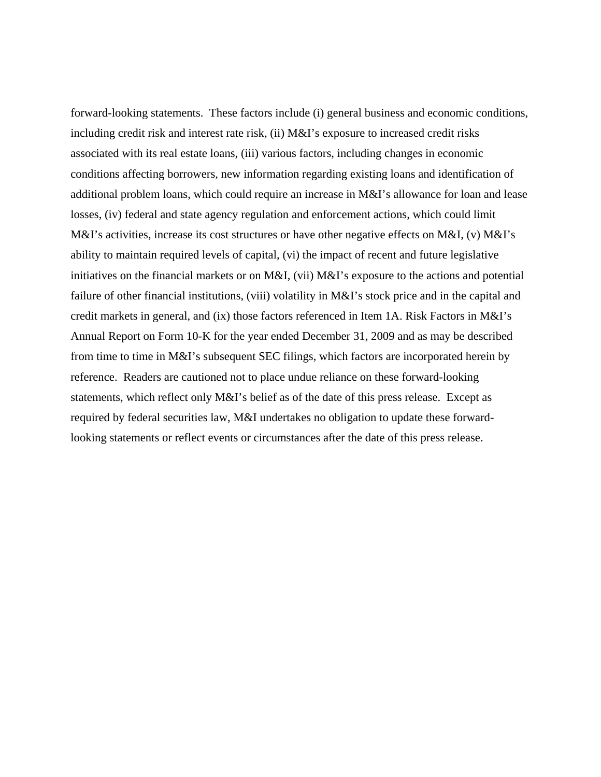forward-looking statements. These factors include (i) general business and economic conditions, including credit risk and interest rate risk, (ii) M&I's exposure to increased credit risks associated with its real estate loans, (iii) various factors, including changes in economic conditions affecting borrowers, new information regarding existing loans and identification of additional problem loans, which could require an increase in M&I's allowance for loan and lease losses, (iv) federal and state agency regulation and enforcement actions, which could limit M&I's activities, increase its cost structures or have other negative effects on M&I, (v) M&I's ability to maintain required levels of capital, (vi) the impact of recent and future legislative initiatives on the financial markets or on M&I, (vii) M&I's exposure to the actions and potential failure of other financial institutions, (viii) volatility in M&I's stock price and in the capital and credit markets in general, and (ix) those factors referenced in Item 1A. Risk Factors in M&I's Annual Report on Form 10-K for the year ended December 31, 2009 and as may be described from time to time in M&I's subsequent SEC filings, which factors are incorporated herein by reference. Readers are cautioned not to place undue reliance on these forward-looking statements, which reflect only M&I's belief as of the date of this press release. Except as required by federal securities law, M&I undertakes no obligation to update these forwardlooking statements or reflect events or circumstances after the date of this press release.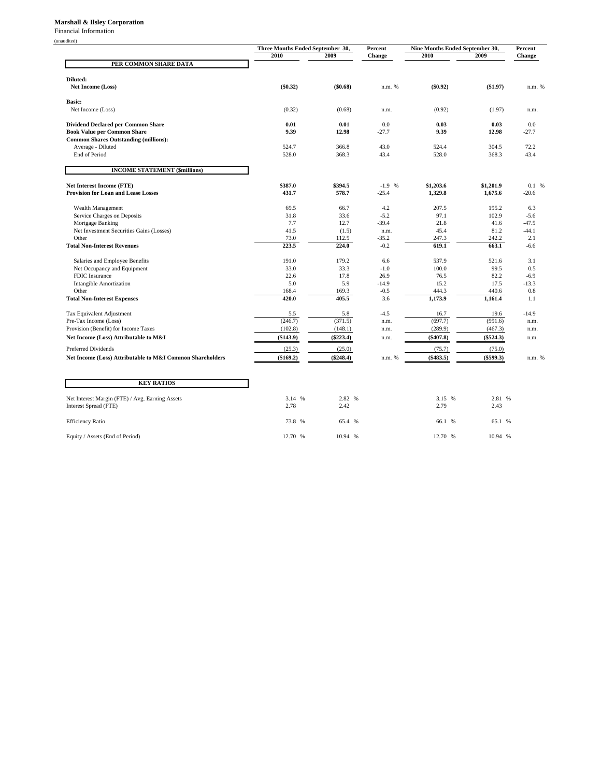#### **Marshall & Ilsley Corporation**

Financial Information

(unaudited)

|                                                                                | Three Months Ended September 30, |                  | Percent            | Nine Months Ended September 30, |                      | Percent          |
|--------------------------------------------------------------------------------|----------------------------------|------------------|--------------------|---------------------------------|----------------------|------------------|
|                                                                                | 2010                             | 2009             | <b>Change</b>      | 2010                            | 2009                 | <b>Change</b>    |
| PER COMMON SHARE DATA                                                          |                                  |                  |                    |                                 |                      |                  |
|                                                                                |                                  |                  |                    |                                 |                      |                  |
| Diluted:                                                                       |                                  |                  |                    |                                 |                      |                  |
| Net Income (Loss)                                                              | $(\$0.32)$                       | (\$0.68)         | n.m. %             | $(\$0.92)$                      | (\$1.97)             | n.m. %           |
|                                                                                |                                  |                  |                    |                                 |                      |                  |
| Basic:<br>Net Income (Loss)                                                    | (0.32)                           | (0.68)           |                    | (0.92)                          | (1.97)               |                  |
|                                                                                |                                  |                  | n.m.               |                                 |                      | n.m.             |
| <b>Dividend Declared per Common Share</b>                                      | 0.01                             | 0.01             | 0.0                | 0.03                            | 0.03                 | 0.0              |
| <b>Book Value per Common Share</b>                                             | 9.39                             | 12.98            | $-27.7$            | 9.39                            | 12.98                | $-27.7$          |
| <b>Common Shares Outstanding (millions):</b>                                   |                                  |                  |                    |                                 |                      |                  |
| Average - Diluted                                                              | 524.7                            | 366.8            | 43.0               | 524.4                           | 304.5                | 72.2             |
| <b>End of Period</b>                                                           | 528.0                            | 368.3            | 43.4               | 528.0                           | 368.3                | 43.4             |
|                                                                                |                                  |                  |                    |                                 |                      |                  |
| <b>INCOME STATEMENT (\$millions)</b>                                           |                                  |                  |                    |                                 |                      |                  |
|                                                                                |                                  |                  |                    |                                 |                      |                  |
| <b>Net Interest Income (FTE)</b><br><b>Provision for Loan and Lease Losses</b> | \$387.0<br>431.7                 | \$394.5<br>578.7 | $-1.9%$<br>$-25.4$ | \$1,203.6<br>1,329.8            | \$1,201.9<br>1,675.6 | 0.1 %<br>$-20.6$ |
|                                                                                |                                  |                  |                    |                                 |                      |                  |
| Wealth Management                                                              | 69.5                             | 66.7             | 4.2                | 207.5                           | 195.2                | 6.3              |
| Service Charges on Deposits                                                    | 31.8                             | 33.6             | $-5.2$             | 97.1                            | 102.9                | $-5.6$           |
| Mortgage Banking                                                               | 7.7                              | 12.7             | $-39.4$            | 21.8                            | 41.6                 | $-47.5$          |
| Net Investment Securities Gains (Losses)                                       | 41.5                             | (1.5)            | n.m.               | 45.4                            | 81.2                 | $-44.1$          |
| Other                                                                          | 73.0                             | 112.5            | $-35.2$            | 247.3                           | 242.2                | 2.1              |
| <b>Total Non-Interest Revenues</b>                                             | 223.5                            | 224.0            | $-0.2$             | 619.1                           | 663.1                | $-6.6$           |
|                                                                                |                                  |                  |                    |                                 |                      |                  |
| Salaries and Employee Benefits                                                 | 191.0                            | 179.2            | 6.6                | 537.9                           | 521.6                | 3.1              |
| Net Occupancy and Equipment<br>FDIC Insurance                                  | 33.0<br>22.6                     | 33.3<br>17.8     | $-1.0$<br>26.9     | 100.0<br>76.5                   | 99.5<br>82.2         | 0.5<br>$-6.9$    |
| <b>Intangible Amortization</b>                                                 | 5.0                              | 5.9              | $-14.9$            | 15.2                            | 17.5                 | $-13.3$          |
| Other                                                                          | 168.4                            | 169.3            | $-0.5$             | 444.3                           | 440.6                | 0.8              |
| <b>Total Non-Interest Expenses</b>                                             | 420.0                            | 405.5            | 3.6                | 1,173.9                         | 1,161.4              | 1.1              |
|                                                                                |                                  |                  |                    |                                 |                      |                  |
| Tax Equivalent Adjustment                                                      | 5.5                              | 5.8              | $-4.5$             | 16.7                            | 19.6                 | $-14.9$          |
| Pre-Tax Income (Loss)                                                          | (246.7)                          | (371.5)          | n.m.               | (697.7)                         | (991.6)              | n.m.             |
| Provision (Benefit) for Income Taxes                                           | (102.8)                          | (148.1)          | n.m.               | (289.9)                         | (467.3)              | n.m.             |
| Net Income (Loss) Attributable to M&I                                          | $(\$143.9)$                      | $(\$223.4)$      | n.m.               | $(\$407.8)$                     | $(\$524.3)$          | n.m.             |
| <b>Preferred Dividends</b>                                                     | (25.3)                           | (25.0)           |                    | (75.7)                          | (75.0)               |                  |
| Net Income (Loss) Attributable to M&I Common Shareholders                      | (\$169.2)                        | $(\$248.4)$      | n.m. %             | $(\$483.5)$                     | (\$599.3)            | n.m. %           |
|                                                                                |                                  |                  |                    |                                 |                      |                  |
| <b>KEY RATIOS</b>                                                              |                                  |                  |                    |                                 |                      |                  |
|                                                                                |                                  |                  |                    |                                 |                      |                  |
| Net Interest Margin (FTE) / Avg. Earning Assets                                | 3.14 %                           | 2.82 %           |                    | 3.15 %                          | 2.81 %               |                  |
| Interest Spread (FTE)                                                          | 2.78                             | 2.42             |                    | 2.79                            | 2.43                 |                  |
|                                                                                |                                  |                  |                    |                                 |                      |                  |

Efficiency Ratio 65.1 % 65.1 % 65.1 % 65.1 % 65.1 % 65.1 % 65.1 % 65.1 % 65.1 % 65.1 % 65.1 % 65.1 % 65.1 % 65.1 % 65.1 % 65.1 % 65.1 % 65.1 % 65.1 % 65.1 % 65.1 % 65.1 % 65.1 % 65.1 % 65.1 % 65.1 % 65.1 % 65.1 % 65.1 % 65 Equity / Assets (End of Period) 12.70 % 10.94 % 12.70 % 12.70 % 12.70 % 12.70 % 10.94 %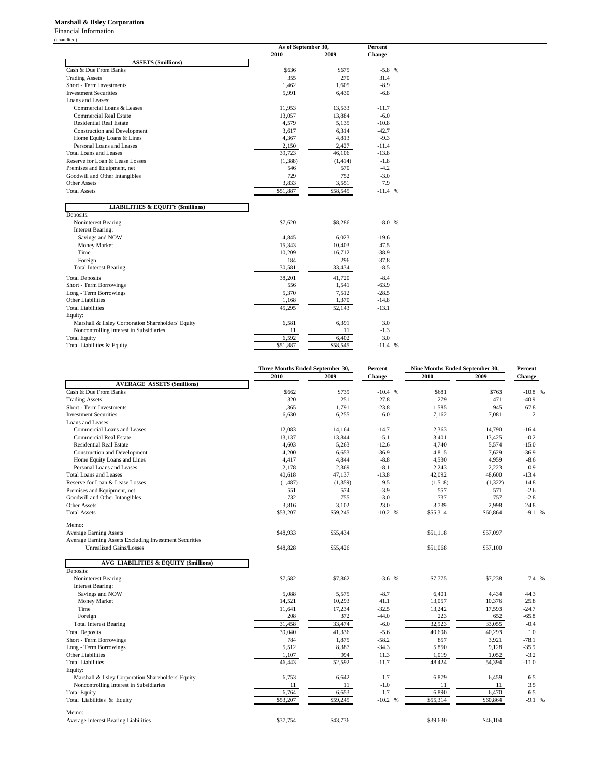#### **Marshall & Ilsley Corporation**

Financial Information (unaudited)

|                                                    | As of September 30, |          | Percent       |  |
|----------------------------------------------------|---------------------|----------|---------------|--|
|                                                    | 2010                | 2009     | <b>Change</b> |  |
| <b>ASSETS</b> (\$millions)                         |                     |          |               |  |
| Cash & Due From Banks                              | \$636               | \$675    | $-5.8$ %      |  |
| <b>Trading Assets</b>                              | 355                 | 270      | 31.4          |  |
| Short - Term Investments                           | 1,462               | 1,605    | $-8.9$        |  |
| <b>Investment Securities</b>                       | 5,991               | 6,430    | $-6.8$        |  |
| Loans and Leases:                                  |                     |          |               |  |
| Commercial Loans & Leases                          | 11,953              | 13,533   | $-11.7$       |  |
| <b>Commercial Real Estate</b>                      | 13,057              | 13,884   | $-6.0$        |  |
| <b>Residential Real Estate</b>                     | 4,579               | 5,135    | $-10.8$       |  |
| <b>Construction and Development</b>                | 3,617               | 6,314    | $-42.7$       |  |
| Home Equity Loans & Lines                          | 4,367               | 4,813    | $-9.3$        |  |
| Personal Loans and Leases                          | 2,150               | 2,427    | $-11.4$       |  |
| Total Loans and Leases                             | 39,723              | 46,106   | $-13.8$       |  |
| Reserve for Loan & Lease Losses                    | (1,388)             | (1,414)  | $-1.8$        |  |
| Premises and Equipment, net                        | 546                 | 570      | $-4.2$        |  |
| Goodwill and Other Intangibles                     | 729                 | 752      | $-3.0$        |  |
| <b>Other Assets</b>                                | 3,833               | 3,551    | 7.9           |  |
| <b>Total Assets</b>                                | \$51,887            | \$58,545 | $-11.4%$      |  |
|                                                    |                     |          |               |  |
| <b>LIABILITIES &amp; EQUITY (\$millions)</b>       |                     |          |               |  |
| Deposits:                                          |                     |          |               |  |
| Noninterest Bearing                                | \$7,620             | \$8,286  | $-8.0%$       |  |
| <b>Interest Bearing:</b>                           |                     |          |               |  |
| Savings and NOW                                    | 4,845               | 6,023    | $-19.6$       |  |
| Money Market                                       | 15,343              | 10,403   | 47.5          |  |
| Time                                               | 10,209              | 16,712   | $-38.9$       |  |
| Foreign                                            | 184                 | 296      | $-37.8$       |  |
| <b>Total Interest Bearing</b>                      | 30,581              | 33,434   | $-8.5$        |  |
| <b>Total Deposits</b>                              | 38,201              | 41,720   | $-8.4$        |  |
| Short - Term Borrowings                            | 556                 | 1,541    | $-63.9$       |  |
| Long - Term Borrowings                             | 5,370               | 7,512    | $-28.5$       |  |
| Other Liabilities                                  | 1,168               | 1,370    | $-14.8$       |  |
| <b>Total Liabilities</b>                           | 45,295              | 52,143   | $-13.1$       |  |
| Equity:                                            |                     |          |               |  |
| Marshall & Ilsley Corporation Shareholders' Equity | 6,581               | 6,391    | 3.0           |  |
| Noncontrolling Interest in Subsidiaries            | 11                  | 11       | $-1.3$        |  |
| <b>Total Equity</b>                                | 6,592               | 6,402    | 3.0           |  |
| Total Liabilities & Equity                         | \$51,887            | \$58,545 | $-11.4$ %     |  |

|                                                        |          | Three Months Ended September 30, |           | Nine Months Ended September 30, |          | Percent   |
|--------------------------------------------------------|----------|----------------------------------|-----------|---------------------------------|----------|-----------|
|                                                        | 2010     | 2009                             | Change    | 2010                            | 2009     | Change    |
| <b>AVERAGE ASSETS (\$millions)</b>                     |          |                                  |           |                                 |          |           |
| Cash & Due From Banks                                  | \$662    | \$739                            | $-10.4%$  | \$681                           | \$763    | $-10.8$ % |
| <b>Trading Assets</b>                                  | 320      | 251                              | 27.8      | 279                             | 471      | $-40.9$   |
| Short - Term Investments                               | 1,365    | 1,791                            | $-23.8$   | 1,585                           | 945      | 67.8      |
| <b>Investment Securities</b>                           | 6,630    | 6,255                            | 6.0       | 7,162                           | 7,081    | 1.2       |
| Loans and Leases:                                      |          |                                  |           |                                 |          |           |
| Commercial Loans and Leases                            | 12.083   | 14.164                           | $-14.7$   | 12,363                          | 14.790   | $-16.4$   |
| <b>Commercial Real Estate</b>                          | 13,137   | 13,844                           | $-5.1$    | 13,401                          | 13,425   | $-0.2$    |
| <b>Residential Real Estate</b>                         | 4,603    | 5,263                            | $-12.6$   | 4,740                           | 5,574    | $-15.0$   |
| <b>Construction and Development</b>                    | 4,200    | 6,653                            | $-36.9$   | 4,815                           | 7,629    | $-36.9$   |
| Home Equity Loans and Lines                            | 4,417    | 4,844                            | $-8.8$    | 4,530                           | 4,959    | $-8.6$    |
| Personal Loans and Leases                              | 2,178    | 2,369                            | $-8.1$    | 2,243                           | 2,223    | 0.9       |
| <b>Total Loans and Leases</b>                          | 40,618   | 47,137                           | $-13.8$   | 42,092                          | 48,600   | $-13.4$   |
| Reserve for Loan & Lease Losses                        | (1, 487) | (1,359)                          | 9.5       | (1,518)                         | (1,322)  | 14.8      |
| Premises and Equipment, net                            | 551      | 574                              | $-3.9$    | 557                             | 571      | $-2.6$    |
| Goodwill and Other Intangibles                         | 732      | 755                              | $-3.0$    | 737                             | 757      | $-2.8$    |
| <b>Other Assets</b>                                    | 3,816    | 3,102                            | 23.0      | 3,739                           | 2.998    | 24.8      |
| <b>Total Assets</b>                                    | \$53,207 | \$59,245                         | $-10.2 %$ | \$55,314                        | \$60,864 | $-9.1%$   |
| Memo:                                                  |          |                                  |           |                                 |          |           |
| <b>Average Earning Assets</b>                          | \$48,933 | \$55,434                         |           | \$51,118                        | \$57,097 |           |
| Average Earning Assets Excluding Investment Securities |          |                                  |           |                                 |          |           |
| <b>Unrealized Gains/Losses</b>                         | \$48,828 | \$55,426                         |           | \$51,068                        | \$57,100 |           |
| <b>AVG LIABILITIES &amp; EQUITY (\$millions)</b>       |          |                                  |           |                                 |          |           |
| Deposits:                                              |          |                                  |           |                                 |          |           |
| Noninterest Bearing                                    | \$7,582  | \$7,862                          | $-3.6$ %  | \$7,775                         | \$7,238  | 7.4 %     |
| <b>Interest Bearing:</b>                               |          |                                  |           |                                 |          |           |
| Savings and NOW                                        | 5,088    | 5.575                            | $-8.7$    | 6.401                           | 4,434    | 44.3      |
| Money Market                                           | 14,521   | 10,293                           | 41.1      | 13,057                          | 10,376   | 25.8      |
| Time                                                   | 11,641   | 17,234                           | $-32.5$   | 13,242                          | 17,593   | $-24.7$   |
| Foreign                                                | 208      | 372                              | $-44.0$   | 223                             | 652      | $-65.8$   |
| <b>Total Interest Bearing</b>                          | 31,458   | 33,474                           | $-6.0$    | 32,923                          | 33,055   | $-0.4$    |
|                                                        | 39,040   | 41,336                           | $-5.6$    | 40,698                          | 40,293   | 1.0       |
| <b>Total Deposits</b>                                  |          |                                  |           |                                 |          |           |
| Short - Term Borrowings                                | 784      | 1,875                            | $-58.2$   | 857                             | 3,921    | $-78.1$   |
| Long - Term Borrowings                                 | 5,512    | 8,387                            | $-34.3$   | 5,850                           | 9,128    | $-35.9$   |
| Other Liabilities                                      | 1,107    | 994                              | 11.3      | 1,019                           | 1,052    | $-3.2$    |
| <b>Total Liabilities</b>                               | 46,443   | 52,592                           | $-11.7$   | 48,424                          | 54,394   | $-11.0$   |
| Equity:                                                |          |                                  |           |                                 |          |           |
| Marshall & Ilsley Corporation Shareholders' Equity     | 6,753    | 6,642                            | 1.7       | 6,879                           | 6,459    | 6.5       |
| Noncontrolling Interest in Subsidiaries                | 11       | 11                               | $-1.0$    | 11                              | 11       | 3.5       |
| <b>Total Equity</b>                                    | 6,764    | 6,653                            | 1.7       | 6,890                           | 6,470    | 6.5       |
| Total Liabilities & Equity                             | \$53,207 | \$59,245                         | $-10.2 %$ | \$55,314                        | \$60,864 | $-9.1%$   |
| Memo:                                                  |          |                                  |           |                                 |          |           |
| Average Interest Bearing Liabilities                   | \$37,754 | \$43,736                         |           | \$39,630                        | \$46,104 |           |